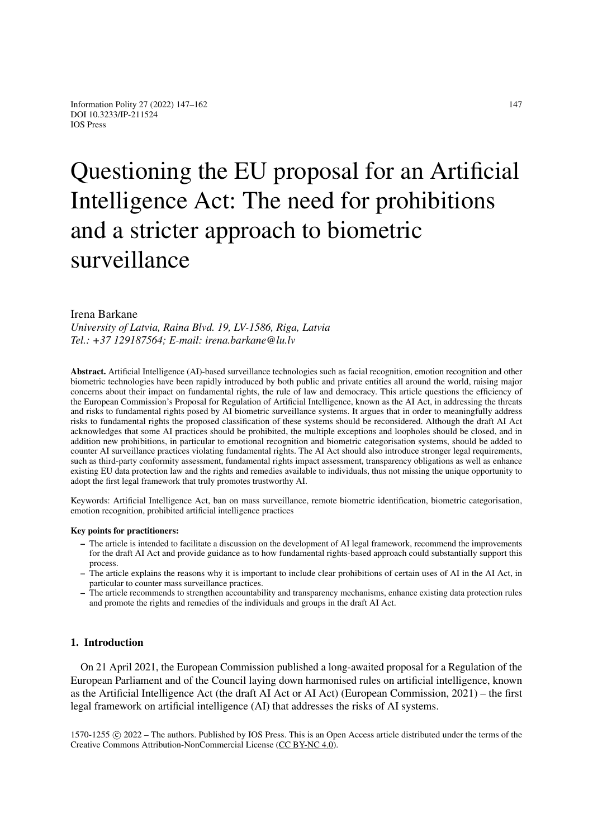# Questioning the EU proposal for an Artificial Intelligence Act: The need for prohibitions and a stricter approach to biometric surveillance

## Irena Barkane

*University of Latvia, Raina Blvd. 19, LV-1586, Riga, Latvia Tel.: +37 129187564; E-mail: irena.barkane@lu.lv*

Abstract. Artificial Intelligence (AI)-based surveillance technologies such as facial recognition, emotion recognition and other biometric technologies have been rapidly introduced by both public and private entities all around the world, raising major concerns about their impact on fundamental rights, the rule of law and democracy. This article questions the efficiency of the European Commission's Proposal for Regulation of Artificial Intelligence, known as the AI Act, in addressing the threats and risks to fundamental rights posed by AI biometric surveillance systems. It argues that in order to meaningfully address risks to fundamental rights the proposed classification of these systems should be reconsidered. Although the draft AI Act acknowledges that some AI practices should be prohibited, the multiple exceptions and loopholes should be closed, and in addition new prohibitions, in particular to emotional recognition and biometric categorisation systems, should be added to counter AI surveillance practices violating fundamental rights. The AI Act should also introduce stronger legal requirements, such as third-party conformity assessment, fundamental rights impact assessment, transparency obligations as well as enhance existing EU data protection law and the rights and remedies available to individuals, thus not missing the unique opportunity to adopt the first legal framework that truly promotes trustworthy AI.

Keywords: Artificial Intelligence Act, ban on mass surveillance, remote biometric identification, biometric categorisation, emotion recognition, prohibited artificial intelligence practices

#### Key points for practitioners:

- The article is intended to facilitate a discussion on the development of AI legal framework, recommend the improvements for the draft AI Act and provide guidance as to how fundamental rights-based approach could substantially support this process.
- The article explains the reasons why it is important to include clear prohibitions of certain uses of AI in the AI Act, in particular to counter mass surveillance practices.
- The article recommends to strengthen accountability and transparency mechanisms, enhance existing data protection rules and promote the rights and remedies of the individuals and groups in the draft AI Act.

## 1. Introduction

On 21 April 2021, the European Commission published a long-awaited proposal for a Regulation of the European Parliament and of the Council laying down harmonised rules on artificial intelligence, known as the Artificial Intelligence Act (the draft AI Act or AI Act) (European Commission, 2021) – the first legal framework on artificial intelligence (AI) that addresses the risks of AI systems.

1570-1255 c 2022 – The authors. Published by IOS Press. This is an Open Access article distributed under the terms of the Creative Commons Attribution-NonCommercial License [\(CC BY-NC 4.0\)](https://creativecommons.org/licenses/by-nc/4.0/).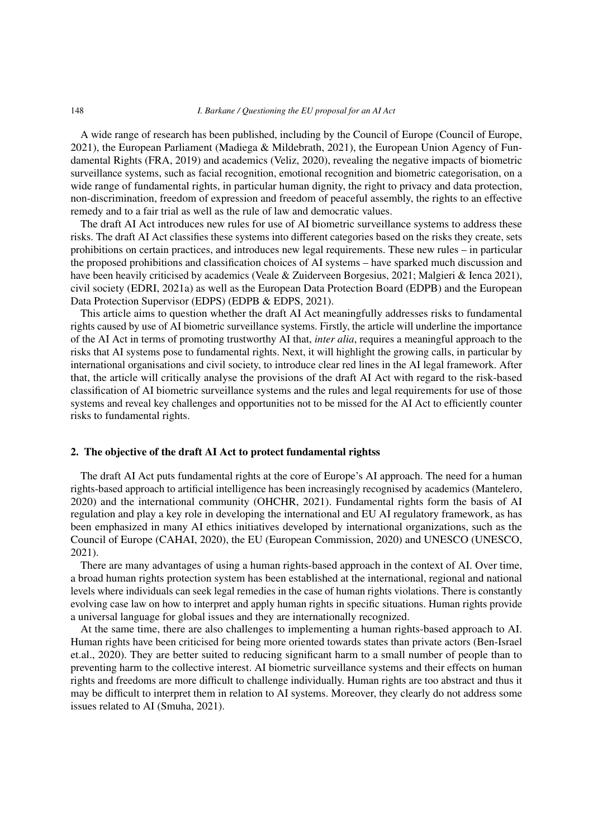#### 148 *I. Barkane / Questioning the EU proposal for an AI Act*

A wide range of research has been published, including by the Council of Europe (Council of Europe, 2021), the European Parliament (Madiega & Mildebrath, 2021), the European Union Agency of Fundamental Rights (FRA, 2019) and academics (Veliz, 2020), revealing the negative impacts of biometric surveillance systems, such as facial recognition, emotional recognition and biometric categorisation, on a wide range of fundamental rights, in particular human dignity, the right to privacy and data protection, non-discrimination, freedom of expression and freedom of peaceful assembly, the rights to an effective remedy and to a fair trial as well as the rule of law and democratic values.

The draft AI Act introduces new rules for use of AI biometric surveillance systems to address these risks. The draft AI Act classifies these systems into different categories based on the risks they create, sets prohibitions on certain practices, and introduces new legal requirements. These new rules – in particular the proposed prohibitions and classification choices of AI systems – have sparked much discussion and have been heavily criticised by academics (Veale & Zuiderveen Borgesius, 2021; Malgieri & Ienca 2021), civil society (EDRI, 2021a) as well as the European Data Protection Board (EDPB) and the European Data Protection Supervisor (EDPS) (EDPB & EDPS, 2021).

This article aims to question whether the draft AI Act meaningfully addresses risks to fundamental rights caused by use of AI biometric surveillance systems. Firstly, the article will underline the importance of the AI Act in terms of promoting trustworthy AI that, *inter alia*, requires a meaningful approach to the risks that AI systems pose to fundamental rights. Next, it will highlight the growing calls, in particular by international organisations and civil society, to introduce clear red lines in the AI legal framework. After that, the article will critically analyse the provisions of the draft AI Act with regard to the risk-based classification of AI biometric surveillance systems and the rules and legal requirements for use of those systems and reveal key challenges and opportunities not to be missed for the AI Act to efficiently counter risks to fundamental rights.

## 2. The objective of the draft AI Act to protect fundamental rightss

The draft AI Act puts fundamental rights at the core of Europe's AI approach. The need for a human rights-based approach to artificial intelligence has been increasingly recognised by academics (Mantelero, 2020) and the international community (OHCHR, 2021). Fundamental rights form the basis of AI regulation and play a key role in developing the international and EU AI regulatory framework, as has been emphasized in many AI ethics initiatives developed by international organizations, such as the Council of Europe (CAHAI, 2020), the EU (European Commission, 2020) and UNESCO (UNESCO, 2021).

There are many advantages of using a human rights-based approach in the context of AI. Over time, a broad human rights protection system has been established at the international, regional and national levels where individuals can seek legal remedies in the case of human rights violations. There is constantly evolving case law on how to interpret and apply human rights in specific situations. Human rights provide a universal language for global issues and they are internationally recognized.

At the same time, there are also challenges to implementing a human rights-based approach to AI. Human rights have been criticised for being more oriented towards states than private actors (Ben-Israel et.al., 2020). They are better suited to reducing significant harm to a small number of people than to preventing harm to the collective interest. AI biometric surveillance systems and their effects on human rights and freedoms are more difficult to challenge individually. Human rights are too abstract and thus it may be difficult to interpret them in relation to AI systems. Moreover, they clearly do not address some issues related to AI (Smuha, 2021).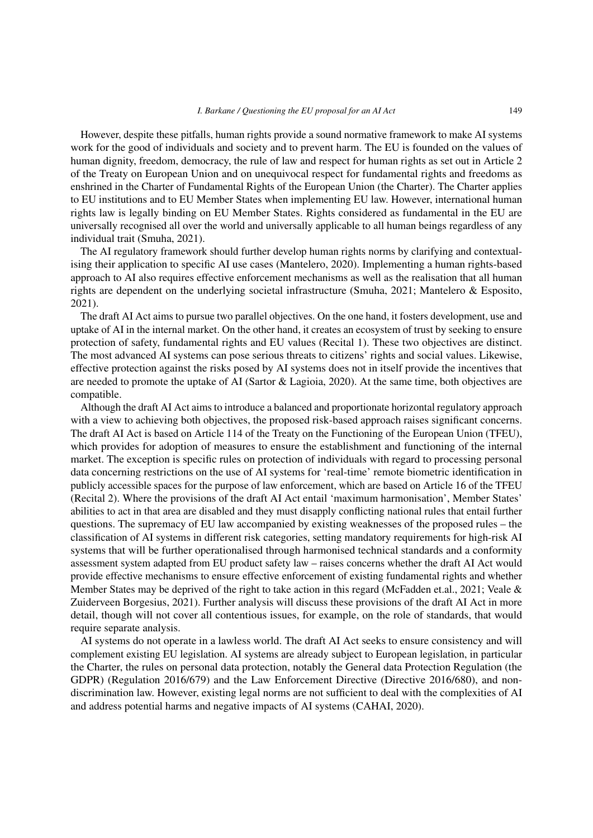However, despite these pitfalls, human rights provide a sound normative framework to make AI systems work for the good of individuals and society and to prevent harm. The EU is founded on the values of human dignity, freedom, democracy, the rule of law and respect for human rights as set out in Article 2 of the Treaty on European Union and on unequivocal respect for fundamental rights and freedoms as enshrined in the Charter of Fundamental Rights of the European Union (the Charter). The Charter applies to EU institutions and to EU Member States when implementing EU law. However, international human rights law is legally binding on EU Member States. Rights considered as fundamental in the EU are universally recognised all over the world and universally applicable to all human beings regardless of any individual trait (Smuha, 2021).

The AI regulatory framework should further develop human rights norms by clarifying and contextualising their application to specific AI use cases (Mantelero, 2020). Implementing a human rights-based approach to AI also requires effective enforcement mechanisms as well as the realisation that all human rights are dependent on the underlying societal infrastructure (Smuha, 2021; Mantelero & Esposito, 2021).

The draft AI Act aims to pursue two parallel objectives. On the one hand, it fosters development, use and uptake of AI in the internal market. On the other hand, it creates an ecosystem of trust by seeking to ensure protection of safety, fundamental rights and EU values (Recital 1). These two objectives are distinct. The most advanced AI systems can pose serious threats to citizens' rights and social values. Likewise, effective protection against the risks posed by AI systems does not in itself provide the incentives that are needed to promote the uptake of AI (Sartor & Lagioia, 2020). At the same time, both objectives are compatible.

Although the draft AI Act aims to introduce a balanced and proportionate horizontal regulatory approach with a view to achieving both objectives, the proposed risk-based approach raises significant concerns. The draft AI Act is based on Article 114 of the Treaty on the Functioning of the European Union (TFEU), which provides for adoption of measures to ensure the establishment and functioning of the internal market. The exception is specific rules on protection of individuals with regard to processing personal data concerning restrictions on the use of AI systems for 'real-time' remote biometric identification in publicly accessible spaces for the purpose of law enforcement, which are based on Article 16 of the TFEU (Recital 2). Where the provisions of the draft AI Act entail 'maximum harmonisation', Member States' abilities to act in that area are disabled and they must disapply conflicting national rules that entail further questions. The supremacy of EU law accompanied by existing weaknesses of the proposed rules – the classification of AI systems in different risk categories, setting mandatory requirements for high-risk AI systems that will be further operationalised through harmonised technical standards and a conformity assessment system adapted from EU product safety law – raises concerns whether the draft AI Act would provide effective mechanisms to ensure effective enforcement of existing fundamental rights and whether Member States may be deprived of the right to take action in this regard (McFadden et.al., 2021; Veale & Zuiderveen Borgesius, 2021). Further analysis will discuss these provisions of the draft AI Act in more detail, though will not cover all contentious issues, for example, on the role of standards, that would require separate analysis.

AI systems do not operate in a lawless world. The draft AI Act seeks to ensure consistency and will complement existing EU legislation. AI systems are already subject to European legislation, in particular the Charter, the rules on personal data protection, notably the General data Protection Regulation (the GDPR) (Regulation 2016/679) and the Law Enforcement Directive (Directive 2016/680), and nondiscrimination law. However, existing legal norms are not sufficient to deal with the complexities of AI and address potential harms and negative impacts of AI systems (CAHAI, 2020).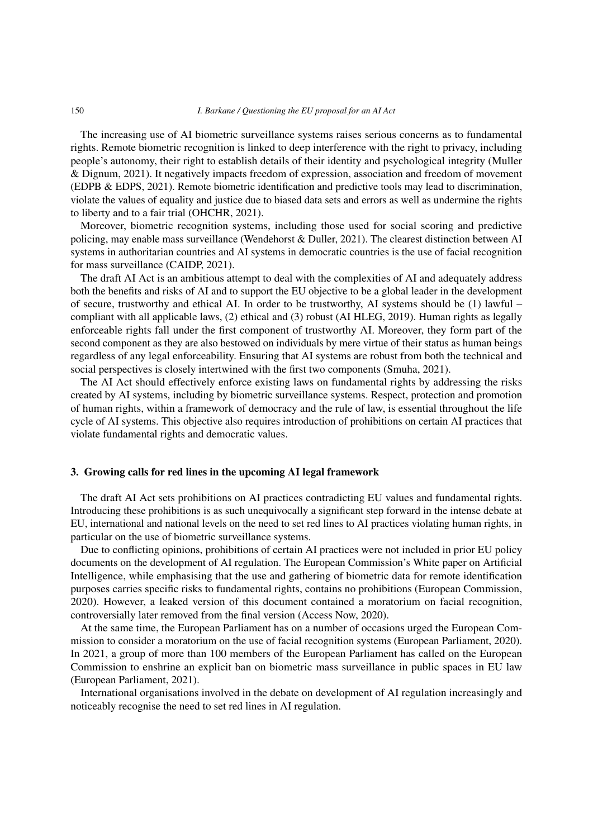The increasing use of AI biometric surveillance systems raises serious concerns as to fundamental rights. Remote biometric recognition is linked to deep interference with the right to privacy, including people's autonomy, their right to establish details of their identity and psychological integrity (Muller & Dignum, 2021). It negatively impacts freedom of expression, association and freedom of movement (EDPB & EDPS, 2021). Remote biometric identification and predictive tools may lead to discrimination, violate the values of equality and justice due to biased data sets and errors as well as undermine the rights to liberty and to a fair trial (OHCHR, 2021).

Moreover, biometric recognition systems, including those used for social scoring and predictive policing, may enable mass surveillance (Wendehorst & Duller, 2021). The clearest distinction between AI systems in authoritarian countries and AI systems in democratic countries is the use of facial recognition for mass surveillance (CAIDP, 2021).

The draft AI Act is an ambitious attempt to deal with the complexities of AI and adequately address both the benefits and risks of AI and to support the EU objective to be a global leader in the development of secure, trustworthy and ethical AI. In order to be trustworthy, AI systems should be (1) lawful – compliant with all applicable laws, (2) ethical and (3) robust (AI HLEG, 2019). Human rights as legally enforceable rights fall under the first component of trustworthy AI. Moreover, they form part of the second component as they are also bestowed on individuals by mere virtue of their status as human beings regardless of any legal enforceability. Ensuring that AI systems are robust from both the technical and social perspectives is closely intertwined with the first two components (Smuha, 2021).

The AI Act should effectively enforce existing laws on fundamental rights by addressing the risks created by AI systems, including by biometric surveillance systems. Respect, protection and promotion of human rights, within a framework of democracy and the rule of law, is essential throughout the life cycle of AI systems. This objective also requires introduction of prohibitions on certain AI practices that violate fundamental rights and democratic values.

#### 3. Growing calls for red lines in the upcoming AI legal framework

The draft AI Act sets prohibitions on AI practices contradicting EU values and fundamental rights. Introducing these prohibitions is as such unequivocally a significant step forward in the intense debate at EU, international and national levels on the need to set red lines to AI practices violating human rights, in particular on the use of biometric surveillance systems.

Due to conflicting opinions, prohibitions of certain AI practices were not included in prior EU policy documents on the development of AI regulation. The European Commission's White paper on Artificial Intelligence, while emphasising that the use and gathering of biometric data for remote identification purposes carries specific risks to fundamental rights, contains no prohibitions (European Commission, 2020). However, a leaked version of this document contained a moratorium on facial recognition, controversially later removed from the final version (Access Now, 2020).

At the same time, the European Parliament has on a number of occasions urged the European Commission to consider a moratorium on the use of facial recognition systems (European Parliament, 2020). In 2021, a group of more than 100 members of the European Parliament has called on the European Commission to enshrine an explicit ban on biometric mass surveillance in public spaces in EU law (European Parliament, 2021).

International organisations involved in the debate on development of AI regulation increasingly and noticeably recognise the need to set red lines in AI regulation.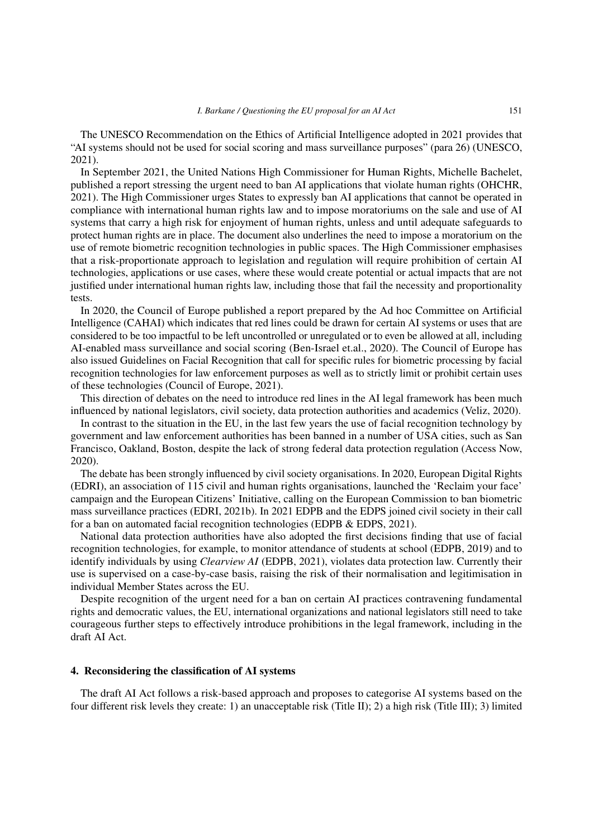The UNESCO Recommendation on the Ethics of Artificial Intelligence adopted in 2021 provides that "AI systems should not be used for social scoring and mass surveillance purposes" (para 26) (UNESCO, 2021).

In September 2021, the United Nations High Commissioner for Human Rights, Michelle Bachelet, published a report stressing the urgent need to ban AI applications that violate human rights (OHCHR, 2021). The High Commissioner urges States to expressly ban AI applications that cannot be operated in compliance with international human rights law and to impose moratoriums on the sale and use of AI systems that carry a high risk for enjoyment of human rights, unless and until adequate safeguards to protect human rights are in place. The document also underlines the need to impose a moratorium on the use of remote biometric recognition technologies in public spaces. The High Commissioner emphasises that a risk-proportionate approach to legislation and regulation will require prohibition of certain AI technologies, applications or use cases, where these would create potential or actual impacts that are not justified under international human rights law, including those that fail the necessity and proportionality tests.

In 2020, the Council of Europe published a report prepared by the Ad hoc Committee on Artificial Intelligence (CAHAI) which indicates that red lines could be drawn for certain AI systems or uses that are considered to be too impactful to be left uncontrolled or unregulated or to even be allowed at all, including AI-enabled mass surveillance and social scoring (Ben-Israel et.al., 2020). The Council of Europe has also issued Guidelines on Facial Recognition that call for specific rules for biometric processing by facial recognition technologies for law enforcement purposes as well as to strictly limit or prohibit certain uses of these technologies (Council of Europe, 2021).

This direction of debates on the need to introduce red lines in the AI legal framework has been much influenced by national legislators, civil society, data protection authorities and academics (Veliz, 2020).

In contrast to the situation in the EU, in the last few years the use of facial recognition technology by government and law enforcement authorities has been banned in a number of USA cities, such as San Francisco, Oakland, Boston, despite the lack of strong federal data protection regulation (Access Now, 2020).

The debate has been strongly influenced by civil society organisations. In 2020, European Digital Rights (EDRI), an association of 115 civil and human rights organisations, launched the 'Reclaim your face' campaign and the European Citizens' Initiative, calling on the European Commission to ban biometric mass surveillance practices (EDRI, 2021b). In 2021 EDPB and the EDPS joined civil society in their call for a ban on automated facial recognition technologies (EDPB & EDPS, 2021).

National data protection authorities have also adopted the first decisions finding that use of facial recognition technologies, for example, to monitor attendance of students at school (EDPB, 2019) and to identify individuals by using *Clearview AI* (EDPB, 2021), violates data protection law. Currently their use is supervised on a case-by-case basis, raising the risk of their normalisation and legitimisation in individual Member States across the EU.

Despite recognition of the urgent need for a ban on certain AI practices contravening fundamental rights and democratic values, the EU, international organizations and national legislators still need to take courageous further steps to effectively introduce prohibitions in the legal framework, including in the draft AI Act.

# 4. Reconsidering the classification of AI systems

The draft AI Act follows a risk-based approach and proposes to categorise AI systems based on the four different risk levels they create: 1) an unacceptable risk (Title II); 2) a high risk (Title III); 3) limited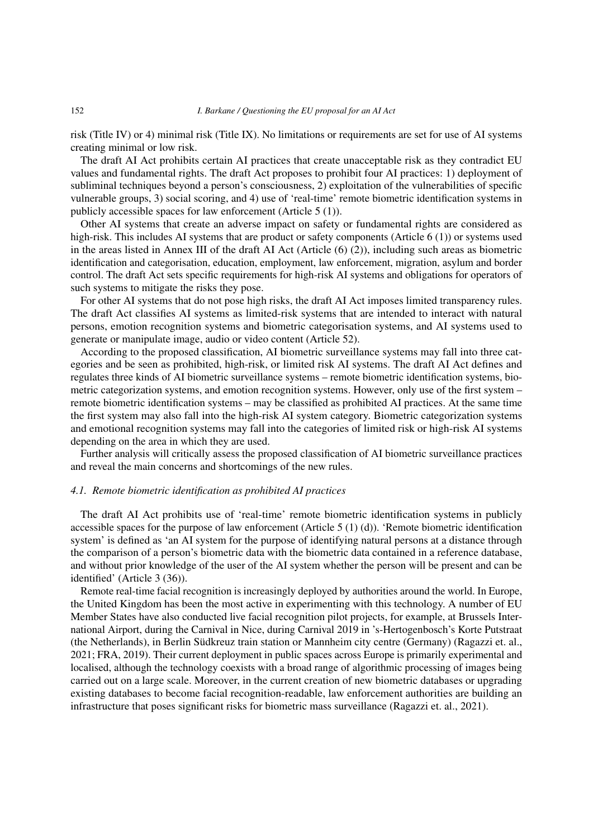risk (Title IV) or 4) minimal risk (Title IX). No limitations or requirements are set for use of AI systems creating minimal or low risk.

The draft AI Act prohibits certain AI practices that create unacceptable risk as they contradict EU values and fundamental rights. The draft Act proposes to prohibit four AI practices: 1) deployment of subliminal techniques beyond a person's consciousness, 2) exploitation of the vulnerabilities of specific vulnerable groups, 3) social scoring, and 4) use of 'real-time' remote biometric identification systems in publicly accessible spaces for law enforcement (Article 5 (1)).

Other AI systems that create an adverse impact on safety or fundamental rights are considered as high-risk. This includes AI systems that are product or safety components (Article 6 (1)) or systems used in the areas listed in Annex III of the draft AI Act (Article (6) (2)), including such areas as biometric identification and categorisation, education, employment, law enforcement, migration, asylum and border control. The draft Act sets specific requirements for high-risk AI systems and obligations for operators of such systems to mitigate the risks they pose.

For other AI systems that do not pose high risks, the draft AI Act imposes limited transparency rules. The draft Act classifies AI systems as limited-risk systems that are intended to interact with natural persons, emotion recognition systems and biometric categorisation systems, and AI systems used to generate or manipulate image, audio or video content (Article 52).

According to the proposed classification, AI biometric surveillance systems may fall into three categories and be seen as prohibited, high-risk, or limited risk AI systems. The draft AI Act defines and regulates three kinds of AI biometric surveillance systems – remote biometric identification systems, biometric categorization systems, and emotion recognition systems. However, only use of the first system – remote biometric identification systems – may be classified as prohibited AI practices. At the same time the first system may also fall into the high-risk AI system category. Biometric categorization systems and emotional recognition systems may fall into the categories of limited risk or high-risk AI systems depending on the area in which they are used.

Further analysis will critically assess the proposed classification of AI biometric surveillance practices and reveal the main concerns and shortcomings of the new rules.

#### *4.1. Remote biometric identification as prohibited AI practices*

The draft AI Act prohibits use of 'real-time' remote biometric identification systems in publicly accessible spaces for the purpose of law enforcement (Article 5 (1) (d)). 'Remote biometric identification system' is defined as 'an AI system for the purpose of identifying natural persons at a distance through the comparison of a person's biometric data with the biometric data contained in a reference database, and without prior knowledge of the user of the AI system whether the person will be present and can be identified' (Article 3 (36)).

Remote real-time facial recognition is increasingly deployed by authorities around the world. In Europe, the United Kingdom has been the most active in experimenting with this technology. A number of EU Member States have also conducted live facial recognition pilot projects, for example, at Brussels International Airport, during the Carnival in Nice, during Carnival 2019 in 's-Hertogenbosch's Korte Putstraat (the Netherlands), in Berlin Südkreuz train station or Mannheim city centre (Germany) (Ragazzi et. al., 2021; FRA, 2019). Their current deployment in public spaces across Europe is primarily experimental and localised, although the technology coexists with a broad range of algorithmic processing of images being carried out on a large scale. Moreover, in the current creation of new biometric databases or upgrading existing databases to become facial recognition-readable, law enforcement authorities are building an infrastructure that poses significant risks for biometric mass surveillance (Ragazzi et. al., 2021).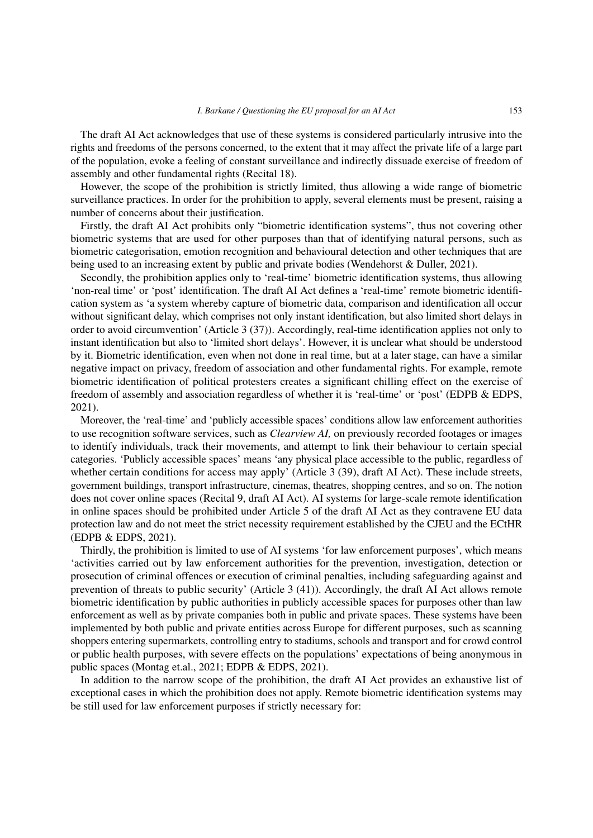The draft AI Act acknowledges that use of these systems is considered particularly intrusive into the rights and freedoms of the persons concerned, to the extent that it may affect the private life of a large part of the population, evoke a feeling of constant surveillance and indirectly dissuade exercise of freedom of assembly and other fundamental rights (Recital 18).

However, the scope of the prohibition is strictly limited, thus allowing a wide range of biometric surveillance practices. In order for the prohibition to apply, several elements must be present, raising a number of concerns about their justification.

Firstly, the draft AI Act prohibits only "biometric identification systems", thus not covering other biometric systems that are used for other purposes than that of identifying natural persons, such as biometric categorisation, emotion recognition and behavioural detection and other techniques that are being used to an increasing extent by public and private bodies (Wendehorst & Duller, 2021).

Secondly, the prohibition applies only to 'real-time' biometric identification systems, thus allowing 'non-real time' or 'post' identification. The draft AI Act defines a 'real-time' remote biometric identification system as 'a system whereby capture of biometric data, comparison and identification all occur without significant delay, which comprises not only instant identification, but also limited short delays in order to avoid circumvention' (Article 3 (37)). Accordingly, real-time identification applies not only to instant identification but also to 'limited short delays'. However, it is unclear what should be understood by it. Biometric identification, even when not done in real time, but at a later stage, can have a similar negative impact on privacy, freedom of association and other fundamental rights. For example, remote biometric identification of political protesters creates a significant chilling effect on the exercise of freedom of assembly and association regardless of whether it is 'real-time' or 'post' (EDPB & EDPS, 2021).

Moreover, the 'real-time' and 'publicly accessible spaces' conditions allow law enforcement authorities to use recognition software services, such as *Clearview AI,* on previously recorded footages or images to identify individuals, track their movements, and attempt to link their behaviour to certain special categories. 'Publicly accessible spaces' means 'any physical place accessible to the public, regardless of whether certain conditions for access may apply' (Article 3 (39), draft AI Act). These include streets, government buildings, transport infrastructure, cinemas, theatres, shopping centres, and so on. The notion does not cover online spaces (Recital 9, draft AI Act). AI systems for large-scale remote identification in online spaces should be prohibited under Article 5 of the draft AI Act as they contravene EU data protection law and do not meet the strict necessity requirement established by the CJEU and the ECtHR (EDPB & EDPS, 2021).

Thirdly, the prohibition is limited to use of AI systems 'for law enforcement purposes', which means 'activities carried out by law enforcement authorities for the prevention, investigation, detection or prosecution of criminal offences or execution of criminal penalties, including safeguarding against and prevention of threats to public security' (Article 3 (41)). Accordingly, the draft AI Act allows remote biometric identification by public authorities in publicly accessible spaces for purposes other than law enforcement as well as by private companies both in public and private spaces. These systems have been implemented by both public and private entities across Europe for different purposes, such as scanning shoppers entering supermarkets, controlling entry to stadiums, schools and transport and for crowd control or public health purposes, with severe effects on the populations' expectations of being anonymous in public spaces (Montag et.al., 2021; EDPB & EDPS, 2021).

In addition to the narrow scope of the prohibition, the draft AI Act provides an exhaustive list of exceptional cases in which the prohibition does not apply. Remote biometric identification systems may be still used for law enforcement purposes if strictly necessary for: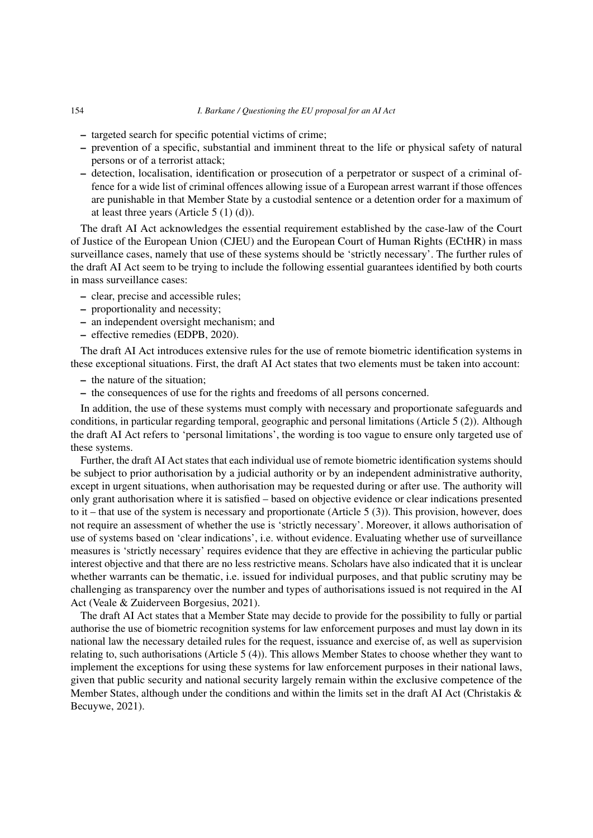- targeted search for specific potential victims of crime;
- prevention of a specific, substantial and imminent threat to the life or physical safety of natural persons or of a terrorist attack;
- detection, localisation, identification or prosecution of a perpetrator or suspect of a criminal offence for a wide list of criminal offences allowing issue of a European arrest warrant if those offences are punishable in that Member State by a custodial sentence or a detention order for a maximum of at least three years (Article 5 (1) (d)).

The draft AI Act acknowledges the essential requirement established by the case-law of the Court of Justice of the European Union (CJEU) and the European Court of Human Rights (ECtHR) in mass surveillance cases, namely that use of these systems should be 'strictly necessary'. The further rules of the draft AI Act seem to be trying to include the following essential guarantees identified by both courts in mass surveillance cases:

- clear, precise and accessible rules;
- proportionality and necessity;
- an independent oversight mechanism; and
- effective remedies (EDPB, 2020).

The draft AI Act introduces extensive rules for the use of remote biometric identification systems in these exceptional situations. First, the draft AI Act states that two elements must be taken into account:

- the nature of the situation;
- the consequences of use for the rights and freedoms of all persons concerned.

In addition, the use of these systems must comply with necessary and proportionate safeguards and conditions, in particular regarding temporal, geographic and personal limitations (Article 5 (2)). Although the draft AI Act refers to 'personal limitations', the wording is too vague to ensure only targeted use of these systems.

Further, the draft AI Act states that each individual use of remote biometric identification systems should be subject to prior authorisation by a judicial authority or by an independent administrative authority, except in urgent situations, when authorisation may be requested during or after use. The authority will only grant authorisation where it is satisfied – based on objective evidence or clear indications presented to it – that use of the system is necessary and proportionate (Article 5 (3)). This provision, however, does not require an assessment of whether the use is 'strictly necessary'. Moreover, it allows authorisation of use of systems based on 'clear indications', i.e. without evidence. Evaluating whether use of surveillance measures is 'strictly necessary' requires evidence that they are effective in achieving the particular public interest objective and that there are no less restrictive means. Scholars have also indicated that it is unclear whether warrants can be thematic, i.e. issued for individual purposes, and that public scrutiny may be challenging as transparency over the number and types of authorisations issued is not required in the AI Act (Veale & Zuiderveen Borgesius, 2021).

The draft AI Act states that a Member State may decide to provide for the possibility to fully or partial authorise the use of biometric recognition systems for law enforcement purposes and must lay down in its national law the necessary detailed rules for the request, issuance and exercise of, as well as supervision relating to, such authorisations (Article 5 (4)). This allows Member States to choose whether they want to implement the exceptions for using these systems for law enforcement purposes in their national laws, given that public security and national security largely remain within the exclusive competence of the Member States, although under the conditions and within the limits set in the draft AI Act (Christakis  $\&$ Becuywe, 2021).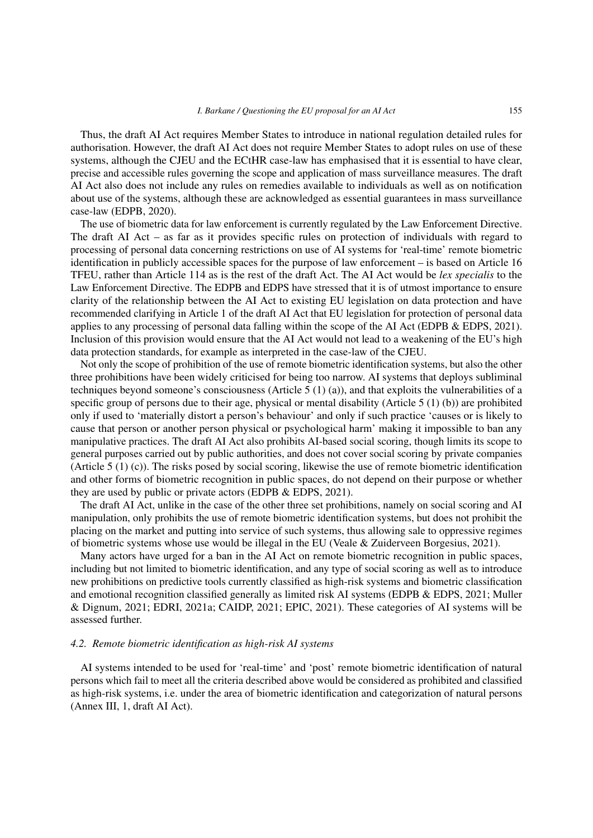Thus, the draft AI Act requires Member States to introduce in national regulation detailed rules for authorisation. However, the draft AI Act does not require Member States to adopt rules on use of these systems, although the CJEU and the ECtHR case-law has emphasised that it is essential to have clear, precise and accessible rules governing the scope and application of mass surveillance measures. The draft AI Act also does not include any rules on remedies available to individuals as well as on notification about use of the systems, although these are acknowledged as essential guarantees in mass surveillance case-law (EDPB, 2020).

The use of biometric data for law enforcement is currently regulated by the Law Enforcement Directive. The draft AI Act – as far as it provides specific rules on protection of individuals with regard to processing of personal data concerning restrictions on use of AI systems for 'real-time' remote biometric identification in publicly accessible spaces for the purpose of law enforcement – is based on Article 16 TFEU, rather than Article 114 as is the rest of the draft Act. The AI Act would be *lex specialis* to the Law Enforcement Directive. The EDPB and EDPS have stressed that it is of utmost importance to ensure clarity of the relationship between the AI Act to existing EU legislation on data protection and have recommended clarifying in Article 1 of the draft AI Act that EU legislation for protection of personal data applies to any processing of personal data falling within the scope of the AI Act (EDPB & EDPS, 2021). Inclusion of this provision would ensure that the AI Act would not lead to a weakening of the EU's high data protection standards, for example as interpreted in the case-law of the CJEU.

Not only the scope of prohibition of the use of remote biometric identification systems, but also the other three prohibitions have been widely criticised for being too narrow. AI systems that deploys subliminal techniques beyond someone's consciousness (Article 5  $(1)$  (a)), and that exploits the vulnerabilities of a specific group of persons due to their age, physical or mental disability (Article 5 (1) (b)) are prohibited only if used to 'materially distort a person's behaviour' and only if such practice 'causes or is likely to cause that person or another person physical or psychological harm' making it impossible to ban any manipulative practices. The draft AI Act also prohibits AI-based social scoring, though limits its scope to general purposes carried out by public authorities, and does not cover social scoring by private companies (Article 5 (1) (c)). The risks posed by social scoring, likewise the use of remote biometric identification and other forms of biometric recognition in public spaces, do not depend on their purpose or whether they are used by public or private actors (EDPB & EDPS, 2021).

The draft AI Act, unlike in the case of the other three set prohibitions, namely on social scoring and AI manipulation, only prohibits the use of remote biometric identification systems, but does not prohibit the placing on the market and putting into service of such systems, thus allowing sale to oppressive regimes of biometric systems whose use would be illegal in the EU (Veale & Zuiderveen Borgesius, 2021).

Many actors have urged for a ban in the AI Act on remote biometric recognition in public spaces, including but not limited to biometric identification, and any type of social scoring as well as to introduce new prohibitions on predictive tools currently classified as high-risk systems and biometric classification and emotional recognition classified generally as limited risk AI systems (EDPB & EDPS, 2021; Muller & Dignum, 2021; EDRI, 2021a; CAIDP, 2021; EPIC, 2021). These categories of AI systems will be assessed further.

### *4.2. Remote biometric identification as high-risk AI systems*

AI systems intended to be used for 'real-time' and 'post' remote biometric identification of natural persons which fail to meet all the criteria described above would be considered as prohibited and classified as high-risk systems, i.e. under the area of biometric identification and categorization of natural persons (Annex III, 1, draft AI Act).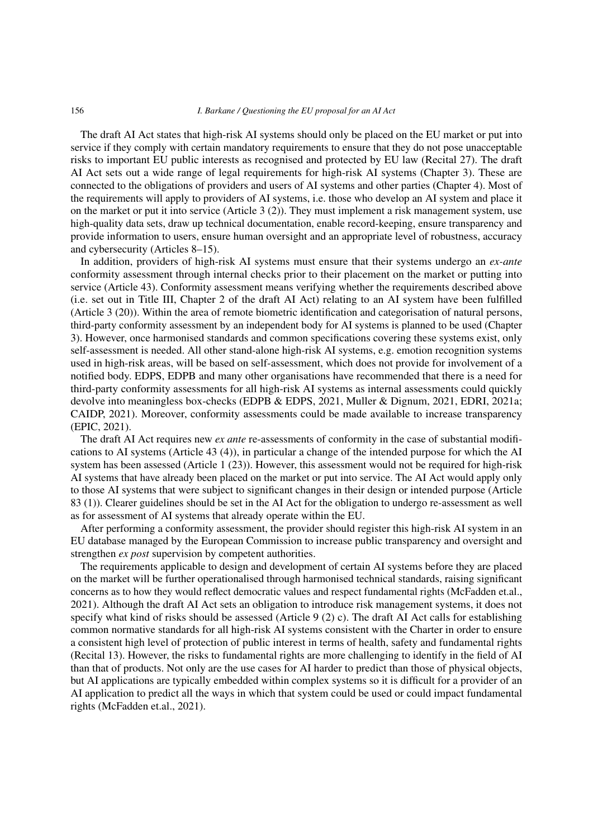The draft AI Act states that high-risk AI systems should only be placed on the EU market or put into service if they comply with certain mandatory requirements to ensure that they do not pose unacceptable risks to important EU public interests as recognised and protected by EU law (Recital 27). The draft AI Act sets out a wide range of legal requirements for high-risk AI systems (Chapter 3). These are connected to the obligations of providers and users of AI systems and other parties (Chapter 4). Most of the requirements will apply to providers of AI systems, i.e. those who develop an AI system and place it on the market or put it into service (Article 3 (2)). They must implement a risk management system, use high-quality data sets, draw up technical documentation, enable record-keeping, ensure transparency and provide information to users, ensure human oversight and an appropriate level of robustness, accuracy and cybersecurity (Articles 8–15).

In addition, providers of high-risk AI systems must ensure that their systems undergo an *ex-ante* conformity assessment through internal checks prior to their placement on the market or putting into service (Article 43). Conformity assessment means verifying whether the requirements described above (i.e. set out in Title III, Chapter 2 of the draft AI Act) relating to an AI system have been fulfilled (Article 3 (20)). Within the area of remote biometric identification and categorisation of natural persons, third-party conformity assessment by an independent body for AI systems is planned to be used (Chapter 3). However, once harmonised standards and common specifications covering these systems exist, only self-assessment is needed. All other stand-alone high-risk AI systems, e.g. emotion recognition systems used in high-risk areas, will be based on self-assessment, which does not provide for involvement of a notified body. EDPS, EDPB and many other organisations have recommended that there is a need for third-party conformity assessments for all high-risk AI systems as internal assessments could quickly devolve into meaningless box-checks (EDPB & EDPS, 2021, Muller & Dignum, 2021, EDRI, 2021a; CAIDP, 2021). Moreover, conformity assessments could be made available to increase transparency (EPIC, 2021).

The draft AI Act requires new *ex ante* re-assessments of conformity in the case of substantial modifications to AI systems (Article 43 (4)), in particular a change of the intended purpose for which the AI system has been assessed (Article 1 (23)). However, this assessment would not be required for high-risk AI systems that have already been placed on the market or put into service. The AI Act would apply only to those AI systems that were subject to significant changes in their design or intended purpose (Article 83 (1)). Clearer guidelines should be set in the AI Act for the obligation to undergo re-assessment as well as for assessment of AI systems that already operate within the EU.

After performing a conformity assessment, the provider should register this high-risk AI system in an EU database managed by the European Commission to increase public transparency and oversight and strengthen *ex post* supervision by competent authorities.

The requirements applicable to design and development of certain AI systems before they are placed on the market will be further operationalised through harmonised technical standards, raising significant concerns as to how they would reflect democratic values and respect fundamental rights (McFadden et.al., 2021). Although the draft AI Act sets an obligation to introduce risk management systems, it does not specify what kind of risks should be assessed (Article 9 (2) c). The draft AI Act calls for establishing common normative standards for all high-risk AI systems consistent with the Charter in order to ensure a consistent high level of protection of public interest in terms of health, safety and fundamental rights (Recital 13). However, the risks to fundamental rights are more challenging to identify in the field of AI than that of products. Not only are the use cases for AI harder to predict than those of physical objects, but AI applications are typically embedded within complex systems so it is difficult for a provider of an AI application to predict all the ways in which that system could be used or could impact fundamental rights (McFadden et.al., 2021).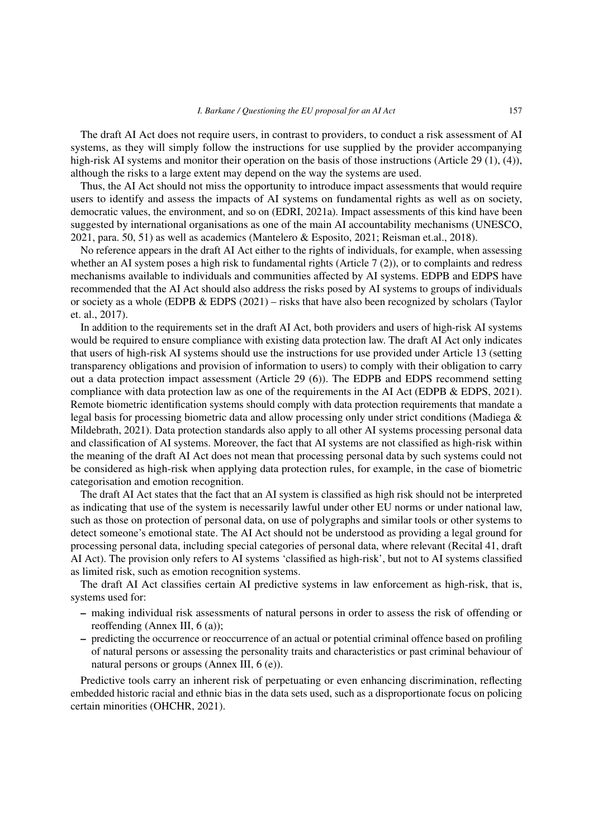The draft AI Act does not require users, in contrast to providers, to conduct a risk assessment of AI systems, as they will simply follow the instructions for use supplied by the provider accompanying high-risk AI systems and monitor their operation on the basis of those instructions (Article 29 (1), (4)), although the risks to a large extent may depend on the way the systems are used.

Thus, the AI Act should not miss the opportunity to introduce impact assessments that would require users to identify and assess the impacts of AI systems on fundamental rights as well as on society, democratic values, the environment, and so on (EDRI, 2021a). Impact assessments of this kind have been suggested by international organisations as one of the main AI accountability mechanisms (UNESCO, 2021, para. 50, 51) as well as academics (Mantelero & Esposito, 2021; Reisman et.al., 2018).

No reference appears in the draft AI Act either to the rights of individuals, for example, when assessing whether an AI system poses a high risk to fundamental rights (Article 7 (2)), or to complaints and redress mechanisms available to individuals and communities affected by AI systems. EDPB and EDPS have recommended that the AI Act should also address the risks posed by AI systems to groups of individuals or society as a whole (EDPB  $&$  EDPS (2021) – risks that have also been recognized by scholars (Taylor et. al., 2017).

In addition to the requirements set in the draft AI Act, both providers and users of high-risk AI systems would be required to ensure compliance with existing data protection law. The draft AI Act only indicates that users of high-risk AI systems should use the instructions for use provided under Article 13 (setting transparency obligations and provision of information to users) to comply with their obligation to carry out a data protection impact assessment (Article 29 (6)). The EDPB and EDPS recommend setting compliance with data protection law as one of the requirements in the AI Act (EDPB & EDPS, 2021). Remote biometric identification systems should comply with data protection requirements that mandate a legal basis for processing biometric data and allow processing only under strict conditions (Madiega & Mildebrath, 2021). Data protection standards also apply to all other AI systems processing personal data and classification of AI systems. Moreover, the fact that AI systems are not classified as high-risk within the meaning of the draft AI Act does not mean that processing personal data by such systems could not be considered as high-risk when applying data protection rules, for example, in the case of biometric categorisation and emotion recognition.

The draft AI Act states that the fact that an AI system is classified as high risk should not be interpreted as indicating that use of the system is necessarily lawful under other EU norms or under national law, such as those on protection of personal data, on use of polygraphs and similar tools or other systems to detect someone's emotional state. The AI Act should not be understood as providing a legal ground for processing personal data, including special categories of personal data, where relevant (Recital 41, draft AI Act). The provision only refers to AI systems 'classified as high-risk', but not to AI systems classified as limited risk, such as emotion recognition systems.

The draft AI Act classifies certain AI predictive systems in law enforcement as high-risk, that is, systems used for:

- making individual risk assessments of natural persons in order to assess the risk of offending or reoffending (Annex III, 6 (a));
- predicting the occurrence or reoccurrence of an actual or potential criminal offence based on profiling of natural persons or assessing the personality traits and characteristics or past criminal behaviour of natural persons or groups (Annex III, 6 (e)).

Predictive tools carry an inherent risk of perpetuating or even enhancing discrimination, reflecting embedded historic racial and ethnic bias in the data sets used, such as a disproportionate focus on policing certain minorities (OHCHR, 2021).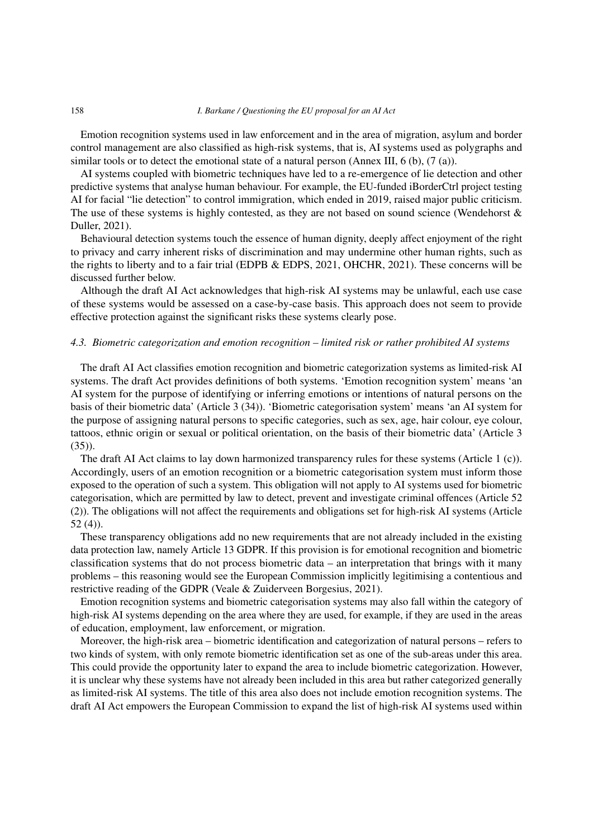Emotion recognition systems used in law enforcement and in the area of migration, asylum and border control management are also classified as high-risk systems, that is, AI systems used as polygraphs and similar tools or to detect the emotional state of a natural person (Annex III, 6 (b), (7 (a)).

AI systems coupled with biometric techniques have led to a re-emergence of lie detection and other predictive systems that analyse human behaviour. For example, the EU-funded iBorderCtrl project testing AI for facial "lie detection" to control immigration, which ended in 2019, raised major public criticism. The use of these systems is highly contested, as they are not based on sound science (Wendehorst  $\&$ Duller, 2021).

Behavioural detection systems touch the essence of human dignity, deeply affect enjoyment of the right to privacy and carry inherent risks of discrimination and may undermine other human rights, such as the rights to liberty and to a fair trial (EDPB & EDPS, 2021, OHCHR, 2021). These concerns will be discussed further below.

Although the draft AI Act acknowledges that high-risk AI systems may be unlawful, each use case of these systems would be assessed on a case-by-case basis. This approach does not seem to provide effective protection against the significant risks these systems clearly pose.

## *4.3. Biometric categorization and emotion recognition – limited risk or rather prohibited AI systems*

The draft AI Act classifies emotion recognition and biometric categorization systems as limited-risk AI systems. The draft Act provides definitions of both systems. 'Emotion recognition system' means 'an AI system for the purpose of identifying or inferring emotions or intentions of natural persons on the basis of their biometric data' (Article 3 (34)). 'Biometric categorisation system' means 'an AI system for the purpose of assigning natural persons to specific categories, such as sex, age, hair colour, eye colour, tattoos, ethnic origin or sexual or political orientation, on the basis of their biometric data' (Article 3 (35)).

The draft AI Act claims to lay down harmonized transparency rules for these systems (Article 1 (c)). Accordingly, users of an emotion recognition or a biometric categorisation system must inform those exposed to the operation of such a system. This obligation will not apply to AI systems used for biometric categorisation, which are permitted by law to detect, prevent and investigate criminal offences (Article 52 (2)). The obligations will not affect the requirements and obligations set for high-risk AI systems (Article 52 (4)).

These transparency obligations add no new requirements that are not already included in the existing data protection law, namely Article 13 GDPR. If this provision is for emotional recognition and biometric classification systems that do not process biometric data – an interpretation that brings with it many problems – this reasoning would see the European Commission implicitly legitimising a contentious and restrictive reading of the GDPR (Veale & Zuiderveen Borgesius, 2021).

Emotion recognition systems and biometric categorisation systems may also fall within the category of high-risk AI systems depending on the area where they are used, for example, if they are used in the areas of education, employment, law enforcement, or migration.

Moreover, the high-risk area – biometric identification and categorization of natural persons – refers to two kinds of system, with only remote biometric identification set as one of the sub-areas under this area. This could provide the opportunity later to expand the area to include biometric categorization. However, it is unclear why these systems have not already been included in this area but rather categorized generally as limited-risk AI systems. The title of this area also does not include emotion recognition systems. The draft AI Act empowers the European Commission to expand the list of high-risk AI systems used within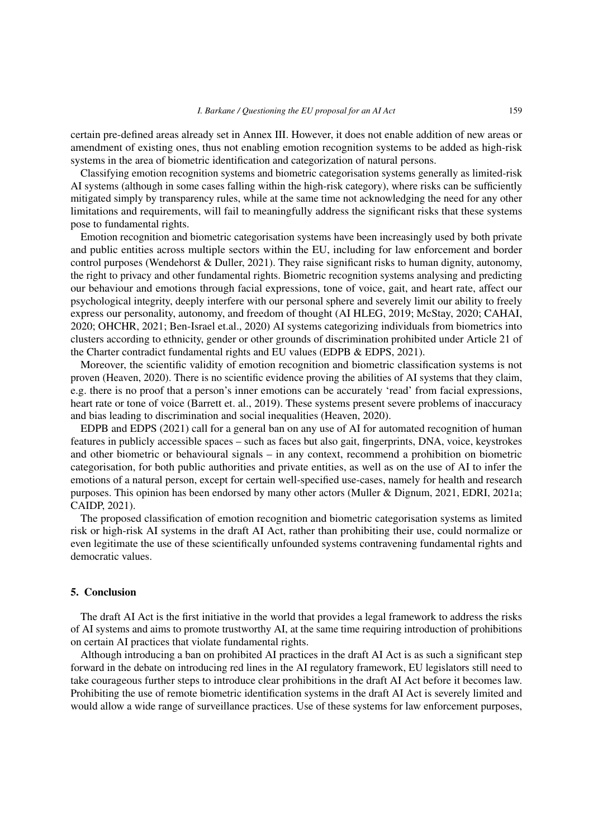certain pre-defined areas already set in Annex III. However, it does not enable addition of new areas or amendment of existing ones, thus not enabling emotion recognition systems to be added as high-risk systems in the area of biometric identification and categorization of natural persons.

Classifying emotion recognition systems and biometric categorisation systems generally as limited-risk AI systems (although in some cases falling within the high-risk category), where risks can be sufficiently mitigated simply by transparency rules, while at the same time not acknowledging the need for any other limitations and requirements, will fail to meaningfully address the significant risks that these systems pose to fundamental rights.

Emotion recognition and biometric categorisation systems have been increasingly used by both private and public entities across multiple sectors within the EU, including for law enforcement and border control purposes (Wendehorst & Duller, 2021). They raise significant risks to human dignity, autonomy, the right to privacy and other fundamental rights. Biometric recognition systems analysing and predicting our behaviour and emotions through facial expressions, tone of voice, gait, and heart rate, affect our psychological integrity, deeply interfere with our personal sphere and severely limit our ability to freely express our personality, autonomy, and freedom of thought (AI HLEG, 2019; McStay, 2020; CAHAI, 2020; OHCHR, 2021; Ben-Israel et.al., 2020) AI systems categorizing individuals from biometrics into clusters according to ethnicity, gender or other grounds of discrimination prohibited under Article 21 of the Charter contradict fundamental rights and EU values (EDPB & EDPS, 2021).

Moreover, the scientific validity of emotion recognition and biometric classification systems is not proven (Heaven, 2020). There is no scientific evidence proving the abilities of AI systems that they claim, e.g. there is no proof that a person's inner emotions can be accurately 'read' from facial expressions, heart rate or tone of voice (Barrett et. al., 2019). These systems present severe problems of inaccuracy and bias leading to discrimination and social inequalities (Heaven, 2020).

EDPB and EDPS (2021) call for a general ban on any use of AI for automated recognition of human features in publicly accessible spaces – such as faces but also gait, fingerprints, DNA, voice, keystrokes and other biometric or behavioural signals – in any context, recommend a prohibition on biometric categorisation, for both public authorities and private entities, as well as on the use of AI to infer the emotions of a natural person, except for certain well-specified use-cases, namely for health and research purposes. This opinion has been endorsed by many other actors (Muller & Dignum, 2021, EDRI, 2021a; CAIDP, 2021).

The proposed classification of emotion recognition and biometric categorisation systems as limited risk or high-risk AI systems in the draft AI Act, rather than prohibiting their use, could normalize or even legitimate the use of these scientifically unfounded systems contravening fundamental rights and democratic values.

## 5. Conclusion

The draft AI Act is the first initiative in the world that provides a legal framework to address the risks of AI systems and aims to promote trustworthy AI, at the same time requiring introduction of prohibitions on certain AI practices that violate fundamental rights.

Although introducing a ban on prohibited AI practices in the draft AI Act is as such a significant step forward in the debate on introducing red lines in the AI regulatory framework, EU legislators still need to take courageous further steps to introduce clear prohibitions in the draft AI Act before it becomes law. Prohibiting the use of remote biometric identification systems in the draft AI Act is severely limited and would allow a wide range of surveillance practices. Use of these systems for law enforcement purposes,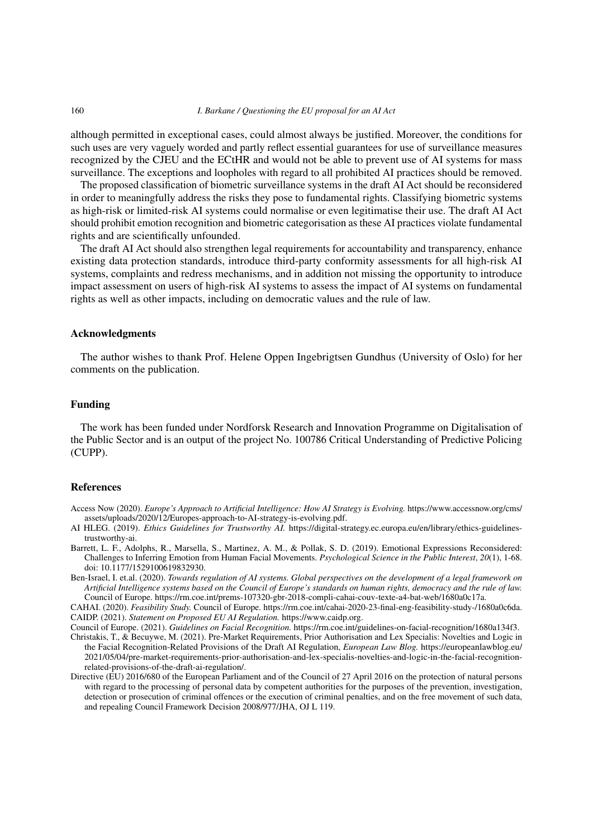although permitted in exceptional cases, could almost always be justified. Moreover, the conditions for such uses are very vaguely worded and partly reflect essential guarantees for use of surveillance measures recognized by the CJEU and the ECtHR and would not be able to prevent use of AI systems for mass surveillance. The exceptions and loopholes with regard to all prohibited AI practices should be removed.

The proposed classification of biometric surveillance systems in the draft AI Act should be reconsidered in order to meaningfully address the risks they pose to fundamental rights. Classifying biometric systems as high-risk or limited-risk AI systems could normalise or even legitimatise their use. The draft AI Act should prohibit emotion recognition and biometric categorisation as these AI practices violate fundamental rights and are scientifically unfounded.

The draft AI Act should also strengthen legal requirements for accountability and transparency, enhance existing data protection standards, introduce third-party conformity assessments for all high-risk AI systems, complaints and redress mechanisms, and in addition not missing the opportunity to introduce impact assessment on users of high-risk AI systems to assess the impact of AI systems on fundamental rights as well as other impacts, including on democratic values and the rule of law.

## Acknowledgments

The author wishes to thank Prof. Helene Oppen Ingebrigtsen Gundhus (University of Oslo) for her comments on the publication.

## Funding

The work has been funded under Nordforsk Research and Innovation Programme on Digitalisation of the Public Sector and is an output of the project No. 100786 Critical Understanding of Predictive Policing (CUPP).

#### References

Access Now (2020). *Europe's Approach to Artificial Intelligence: How AI Strategy is Evolving.* https://www.accessnow.org/cms/ assets/uploads/2020/12/Europes-approach-to-AI-strategy-is-evolving.pdf.

- AI HLEG. (2019). *Ethics Guidelines for Trustworthy AI.* https://digital-strategy.ec.europa.eu/en/library/ethics-guidelinestrustworthy-ai.
- Barrett, L. F., Adolphs, R., Marsella, S., Martinez, A. M., & Pollak, S. D. (2019). Emotional Expressions Reconsidered: Challenges to Inferring Emotion from Human Facial Movements. *Psychological Science in the Public Interest*, *20*(1), 1-68. doi: 10.1177/1529100619832930.
- Ben-Israel, I. et.al. (2020). *Towards regulation of AI systems. Global perspectives on the development of a legal framework on Artificial Intelligence systems based on the Council of Europe's standards on human rights, democracy and the rule of law.* Council of Europe. https://rm.coe.int/prems-107320-gbr-2018-compli-cahai-couv-texte-a4-bat-web/1680a0c17a.

CAHAI. (2020). *Feasibility Study.* Council of Europe. https://rm.coe.int/cahai-2020-23-final-eng-feasibility-study-/1680a0c6da. CAIDP. (2021). *Statement on Proposed EU AI Regulation.* https://www.caidp.org.

Council of Europe. (2021). *Guidelines on Facial Recognition.* https://rm.coe.int/guidelines-on-facial-recognition/1680a134f3.

- Christakis, T., & Becuywe, M. (2021). Pre-Market Requirements, Prior Authorisation and Lex Specialis: Novelties and Logic in the Facial Recognition-Related Provisions of the Draft AI Regulation, *European Law Blog.* https://europeanlawblog.eu/ 2021/05/04/pre-market-requirements-prior-authorisation-and-lex-specialis-novelties-and-logic-in-the-facial-recognitionrelated-provisions-of-the-draft-ai-regulation/.
- Directive (EU) 2016/680 of the European Parliament and of the Council of 27 April 2016 on the protection of natural persons with regard to the processing of personal data by competent authorities for the purposes of the prevention, investigation, detection or prosecution of criminal offences or the execution of criminal penalties, and on the free movement of such data, and repealing Council Framework Decision 2008/977/JHA, OJ L 119.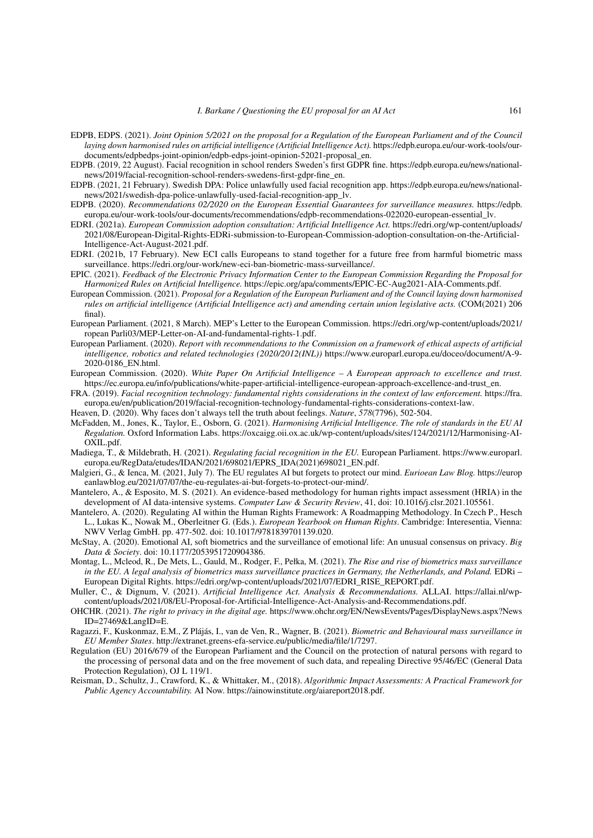- EDPB, EDPS. (2021). *Joint Opinion 5/2021 on the proposal for a Regulation of the European Parliament and of the Council laying down harmonised rules on artificial intelligence (Artificial Intelligence Act).* https://edpb.europa.eu/our-work-tools/ourdocuments/edpbedps-joint-opinion/edpb-edps-joint-opinion-52021-proposal\_en.
- EDPB. (2019, 22 August). Facial recognition in school renders Sweden's first GDPR fine. https://edpb.europa.eu/news/nationalnews/2019/facial-recognition-school-renders-swedens-first-gdpr-fine\_en.
- EDPB. (2021, 21 February). Swedish DPA: Police unlawfully used facial recognition app. https://edpb.europa.eu/news/nationalnews/2021/swedish-dpa-police-unlawfully-used-facial-recognition-app\_lv.
- EDPB. (2020). *Recommendations 02/2020 on the European Essential Guarantees for surveillance measures.* https://edpb. europa.eu/our-work-tools/our-documents/recommendations/edpb-recommendations-022020-european-essential\_lv.
- EDRI. (2021a). *European Commission adoption consultation: Artificial Intelligence Act.* https://edri.org/wp-content/uploads/ 2021/08/European-Digital-Rights-EDRi-submission-to-European-Commission-adoption-consultation-on-the-Artificial-Intelligence-Act-August-2021.pdf.
- EDRI. (2021b, 17 February). New ECI calls Europeans to stand together for a future free from harmful biometric mass surveillance. https://edri.org/our-work/new-eci-ban-biometric-mass-surveillance/.
- EPIC. (2021). *Feedback of the Electronic Privacy Information Center to the European Commission Regarding the Proposal for Harmonized Rules on Artificial Intelligence.* https://epic.org/apa/comments/EPIC-EC-Aug2021-AIA-Comments.pdf.
- European Commission. (2021). *Proposal for a Regulation of the European Parliament and of the Council laying down harmonised rules on artificial intelligence (Artificial Intelligence act) and amending certain union legislative acts.* (COM(2021) 206 final).
- European Parliament. (2021, 8 March). MEP's Letter to the European Commission. https://edri.org/wp-content/uploads/2021/ ropean Parli03/MEP-Letter-on-AI-and-fundamental-rights-1.pdf.
- European Parliament. (2020). *Report with recommendations to the Commission on a framework of ethical aspects of artificial intelligence, robotics and related technologies (2020/2012(INL))* https://www.europarl.europa.eu/doceo/document/A-9- 2020-0186\_EN.html.
- European Commission. (2020). *White Paper On Artificial Intelligence A European approach to excellence and trust.* https://ec.europa.eu/info/publications/white-paper-artificial-intelligence-european-approach-excellence-and-trust\_en.
- FRA. (2019). *Facial recognition technology: fundamental rights considerations in the context of law enforcement.* https://fra. europa.eu/en/publication/2019/facial-recognition-technology-fundamental-rights-considerations-context-law.
- Heaven, D. (2020). Why faces don't always tell the truth about feelings. *Nature*, *578*(7796), 502-504.
- McFadden, M., Jones, K., Taylor, E., Osborn, G. (2021). *Harmonising Artificial Intelligence. The role of standards in the EU AI Regulation.* Oxford Information Labs. https://oxcaigg.oii.ox.ac.uk/wp-content/uploads/sites/124/2021/12/Harmonising-AI-OXIL.pdf.
- Madiega, T., & Mildebrath, H. (2021). *Regulating facial recognition in the EU.* European Parliament. https://www.europarl. europa.eu/RegData/etudes/IDAN/2021/698021/EPRS\_IDA(2021)698021\_EN.pdf.
- Malgieri, G., & Ienca, M. (2021, July 7). The EU regulates AI but forgets to protect our mind. *Eurioean Law Blog.* https://europ eanlawblog.eu/2021/07/07/the-eu-regulates-ai-but-forgets-to-protect-our-mind/.
- Mantelero, A., & Esposito, M. S. (2021). An evidence-based methodology for human rights impact assessment (HRIA) in the development of AI data-intensive systems. *Computer Law & Security Review*, 41, doi: 10.1016/j.clsr.2021.105561.
- Mantelero, A. (2020). Regulating AI within the Human Rights Framework: A Roadmapping Methodology. In Czech P., Hesch L., Lukas K., Nowak M., Oberleitner G. (Eds.). *European Yearbook on Human Rights*. Cambridge: Interesentia, Vienna: NWV Verlag GmbH. pp. 477-502. doi: 10.1017/9781839701139.020.
- McStay, A. (2020). Emotional AI, soft biometrics and the surveillance of emotional life: An unusual consensus on privacy. *Big Data & Society*. doi: 10.1177/2053951720904386.
- Montag, L., Mcleod, R., De Mets, L., Gauld, M., Rodger, F., Pełka, M. (2021). *The Rise and rise of biometrics mass surveillance in the EU. A legal analysis of biometrics mass surveillance practices in Germany, the Netherlands, and Poland.* EDRi – European Digital Rights. https://edri.org/wp-content/uploads/2021/07/EDRI\_RISE\_REPORT.pdf.
- Muller, C., & Dignum, V. (2021). *Artificial Intelligence Act. Analysis & Recommendations.* ALLAI. https://allai.nl/wpcontent/uploads/2021/08/EU-Proposal-for-Artificial-Intelligence-Act-Analysis-and-Recommendations.pdf.
- OHCHR. (2021). *The right to privacy in the digital age.* https://www.ohchr.org/EN/NewsEvents/Pages/DisplayNews.aspx?News ID=27469&LangID=E.
- Ragazzi, F., Kuskonmaz, E.M., Z Plájás, I., van de Ven, R., Wagner, B. (2021). *Biometric and Behavioural mass surveillance in EU Member States*. http://extranet.greens-efa-service.eu/public/media/file/1/7297.
- Regulation (EU) 2016/679 of the European Parliament and the Council on the protection of natural persons with regard to the processing of personal data and on the free movement of such data, and repealing Directive 95/46/EC (General Data Protection Regulation), OJ L 119/1.
- Reisman, D., Schultz, J., Crawford, K., & Whittaker, M., (2018). *Algorithmic Impact Assessments: A Practical Framework for Public Agency Accountability.* AI Now. https://ainowinstitute.org/aiareport2018.pdf.